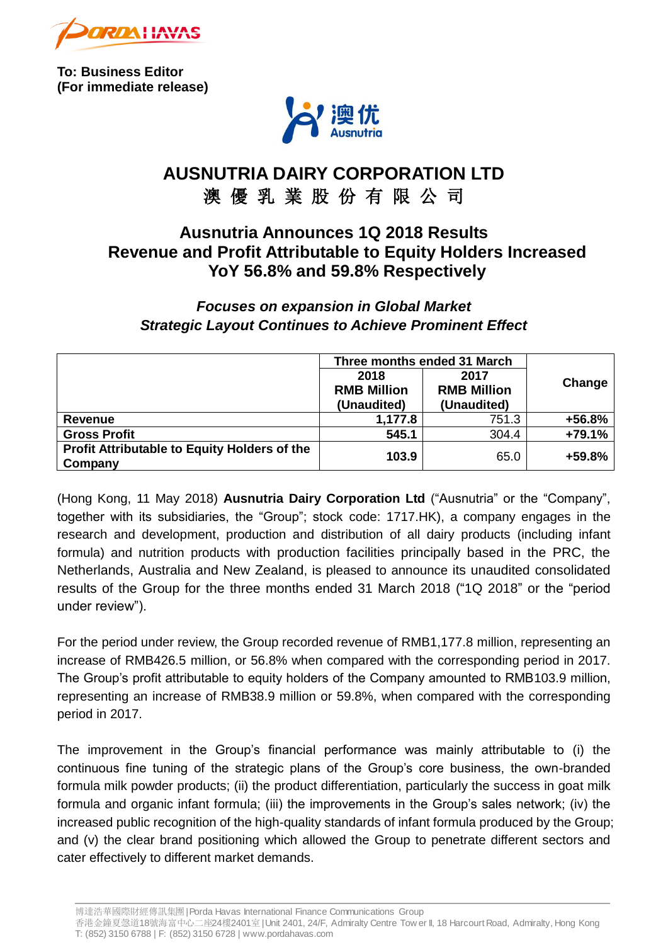

**To: Business Editor (For immediate release)**



# **AUSNUTRIA DAIRY CORPORATION LTD** 澳 優 乳 業 股 份 有 限 公 司

## **Ausnutria Announces 1Q 2018 Results Revenue and Profit Attributable to Equity Holders Increased YoY 56.8% and 59.8% Respectively**

## *Focuses on expansion in Global Market Strategic Layout Continues to Achieve Prominent Effect*

|                                                                | Three months ended 31 March               |                                           |          |
|----------------------------------------------------------------|-------------------------------------------|-------------------------------------------|----------|
|                                                                | 2018<br><b>RMB Million</b><br>(Unaudited) | 2017<br><b>RMB Million</b><br>(Unaudited) | Change   |
| Revenue                                                        | 1,177.8                                   | 751.3                                     | +56.8%   |
| <b>Gross Profit</b>                                            | 545.1                                     | 304.4                                     | $+79.1%$ |
| <b>Profit Attributable to Equity Holders of the</b><br>Company | 103.9                                     | 65.0                                      | +59.8%   |

(Hong Kong, 11 May 2018) **Ausnutria Dairy Corporation Ltd** ("Ausnutria" or the "Company", together with its subsidiaries, the "Group"; stock code: 1717.HK), a company engages in the research and development, production and distribution of all dairy products (including infant formula) and nutrition products with production facilities principally based in the PRC, the Netherlands, Australia and New Zealand, is pleased to announce its unaudited consolidated results of the Group for the three months ended 31 March 2018 ("1Q 2018" or the "period under review").

For the period under review, the Group recorded revenue of RMB1,177.8 million, representing an increase of RMB426.5 million, or 56.8% when compared with the corresponding period in 2017. The Group's profit attributable to equity holders of the Company amounted to RMB103.9 million, representing an increase of RMB38.9 million or 59.8%, when compared with the corresponding period in 2017.

The improvement in the Group's financial performance was mainly attributable to (i) the continuous fine tuning of the strategic plans of the Group's core business, the own-branded formula milk powder products; (ii) the product differentiation, particularly the success in goat milk formula and organic infant formula; (iii) the improvements in the Group's sales network; (iv) the increased public recognition of the high-quality standards of infant formula produced by the Group; and (v) the clear brand positioning which allowed the Group to penetrate different sectors and cater effectively to different market demands.

博達浩華國際財經傳訊集團| Porda Havas International Finance Communications Group

香港金鐘夏愨道18號海富中心二座24樓2401<sup>室</sup>| Unit 2401, 24/F, Admiralty Centre Tow er II, 18 Harcourt Road, Admiralty, Hong Kong T: (852) 3150 6788 | F: (852) 3150 6728 | www.pordahavas.com